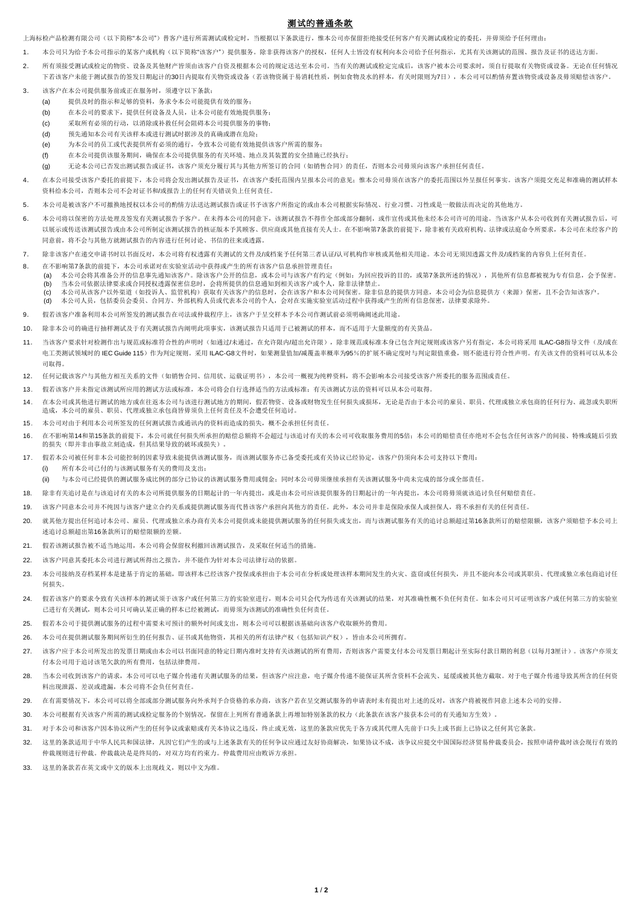## 测试的普通条款

上海标检产品检测有限公司(以下简称"本公司")替客户进行所需测试或检定时,当根据以下条款进行,惟本公司亦保留拒绝接受任何客户有关测试或检定的委托,并毋须给予任何理由;

- 1. 本公司只为给予本公司指示的某客户或机构(以下简称"该客户")提供服务。除非获得该客户的授权,任何人士皆没有权利向本公司给予任何指示,尤其有关该测试的范围、报告及证书的送达方面。
- 2. 所有须接受测试或检定的物资、设备及其他财产皆须由该客户自资及根据本公司的规定送达至本公司。当有关的测试或检定完成后,该客户被本公司要求时,须自行提取有关物资或设备。无论在任何情况 下若该客户未能于测试报告的文书用起计的30日内提取有关物资或设备(若该物资属于易消耗性质,例加食物及水的样本,有关时限则为7日),本公司可以酌情弃置该物资或设备及毋须赔偿该客户。
- 3. 该客户在本公司提供服务前或正在服务时,须遵守以下条款:
	- (a) 提供及时的指示和足够的资料,务求令本公司能提供有效的服务;
	- (b) 在本公司的要求下,提供任何设备及人员,让本公司能有效地提供服务;
	- (c) 采取所有必须的行动,以消除或补救任何会阻碍本公司提供服务的事物;
	- (d) 预先通知本公司有关该样本或进行测试时据涉及的真确或潜在危险;
	- (e) 为本公司的员工或代表提供所有必须的通行,令致本公司能有效地提供该客户所需的服务;
	- (f) 在本公司提供该服务期间,确保在本公司提供服务的有关环境、地点及其装置的安全措施已经执行;
	- (g) 无论本公司已否发出测试报告或证书,该客户须充分履行其与其他方所签订的合同(如销售合同)的责任,否则本公司毋须向该客户承担任何责任。
- 4. 在本公司接受该客户委托的前提下,本公司将会发出测试报告及证书,在该客户委托范围内呈报本公司的意见;惟本公司毋须在该客户的委托范围以外呈报任何事实。该客户须提交充足和准确的测试样本 资料给本公司,否则本公司不会对证书和/或报告上的任何有关错误负上任何责任。
- 5. 本公司是被该客户不可撤换地授权以本公司的酌情方法送达测试报告或证书予该客户所指定的或由本公司根据实际情况、行业习惯、习性或是一般做法而决定的其他地方。
- 6. 本公司将以保密的方法处理及签发有关测试报告予客户。在未得本公司的同意下,该测试报告不得作全部或部分翻制,或作宣传或其他未经本公司许可的用途。当该客户从本公司收到有关测试报告后,可 以展示或传送该测试报告或由本公司所制定该测试报告的核证版本予其顾客、供应商或其他直接有关人士。在不影响第7条款的前提下,除非被有关政府机构、法律或法庭命令所要求,本公司在未经客户的 同意前,将不会与其他方就测试报告的内容进行任何讨论、书信的往来或透露。
- 7. 除非该客户在递交申请书时以书面反对,本公司将有权透露有关测试的文件及/或档案予任何第三者认证/认可机构作审核或其他相关用途。本公司无须因透露文件及/或档案的内容负上任何责任。
- 8. 在不影响第7条款的前提下,本公司承诺对在实验室活动中获得或产生的所有该客户信息承担管理责任:
	- (a) 本公司会将其准备公开的信息事先通知该客户。除该客户公开的信息,或本公司与该客户有约定(例如:为回应投诉的目的,或第7条款所述的情况),其他所有信息都被视为专有信息,会予保密。 (b) 当本公司依据法律要求或合同授权透露保密信息时,会将所提供的信息通知到相关该客户或个人,除非法律禁止。
	- (c) 本公司从该客户以外渠道(如投诉人、监管机构)获取有关该客户的信息时,会在该客户和本公司间保密。除非信息的提供方同意,本公司会为信息提供方(来源)保密,且不会告知该客户。 (d) 本公司人员,包括委员会委员、合同方、外部机构人员或代表本公司的个人,会对在实施实验室活动过程中获得或产生的所有信息保密,法律要求除外。
- 9. 假若该客户准备利用本公司所签发的测试报告在司法或仲裁程序上,该客户于呈交样本予本公司作测试前必须明确阐述此用途。
- 10. 除非本公司的确进行抽样测试及于有关测试报告内阐明此项事实,该测试报告只适用于已被测试的样本,而不适用于大量额度的有关货品。
- 11. 当该客户要求针对检测作出与规范或标准符合性的声明时(如通过/未通过,在允许限内/超出允许限),除非规范或标准本身已包含判定规则或该客户另有指定,本公司将采用ILAC-G8指导文件(及/或在 由工类测试领域时的 IEC Guide 115)作为判定规则。采用 ILAC-G8文件时,加果测量值加/减覆盖率概率为95%的扩展不确定度时与判定限值重叠,则不能进行符合性声明。有关该文件的资料可以从本公 司取得。
- 12. 任何记载该客户与其他方相互关系的文件(如销售合同、信用状、运载证明书),本公司一概视为纯粹资料,将不会影响本公司接受该客户所委托的服务范围或责任。
- 13. 假若该客户并未指定该测试所应用的测试方法或标准,本公司将会自行选择适当的方法或标准;有关该测试方法的资料可以从本公司取得。
- 14. 在本公司或其他进行测试的地方或在往返本公司与该进行测试地方的期间,假若物资、设备或财物发生任何损失或损坏,无论是否由于本公司的雇员、职员、代理或独立承包商的任何行为、疏忽或失职所 造成,本公司的雇员、职员、代理或独立承包商皆毋须负上任何责任及不会遭受任何追讨。
- 15. 本公司对由于利用本公司所签发的任何测试报告或通讯内的资料而造成的损失,概不会承担任何责任。
- 16. 在不影响第14和第15条款的前提下,本公司就任何损失所承担的赔偿总额将不会超过与该追讨有关的本公司可收取服务费用的5倍;本公司的赔偿责任亦绝对不会包含任何该客户的间接、特殊或随后引致 的损失(即并非由事故立刻造成,但其结果导致的破坏或损失)
- 17. 假若本公司被任何非本公司能控制的因素导致未能提供该测试服务,而该测试服务亦已备受委托或有关协议已经协定,该客户仍须向本公司支持以下费用:
	- (i) 所有本公司已付的与该测试服务有关的费用及支出;
	- (ii) 与本公司已经提供的测试服务成比例的部分已协议的该测试服务费用或佣金;同时本公司毋须继续承担有关该测试服务中尚未完成的部分或全部责任。
- 18. 除非有关追讨是在与该追讨有关的本公司所提供服务的日期起计的一年内提出,或是由本公司应该提供服务的日期起计的一年内提出,本公司将毋须就该追讨负任何赔偿责任。
- 19. 该客户同意本公司并不纯因与该客户建立合约关系或提供测试服务而代替该客户承担向其他方的责任。此外,本公司并非是保险承保人或担保人,将不承担有关的任何责任。
- 20. 就其他方提出任何追讨本公司、雇员、代理或独立承办商有关本公司提供或未能提供测试服务的任何损失或支出,而与该测试服务有关的追讨总额超过第16条款所订的赔偿限额,该客户须赔偿予本公司上 述追讨总额超出第16条款所订的赔偿限额的差额。
- 21. 假若该测试报告被不适当地运用,本公司将会保留权利撤回该测试报告,及采取任何适当的措施。
- 22. 该客户同意其委托本公司进行测试所得出之报告,并不能作为针对本公司法律行动的依据。
- 23. 本公司接纳及存档某样本是建基于肯定的基础,即该样本已经该客户投保或承担由于本公司在分析或处理该样本期间发生的火灾、盗窃或任何损失,并且不能向本公司或其职员、代理或独立承包商追讨任 何损失。
- 24. 假若该客户的要求令致有关该样本的测试须于该客户或任何第三方的实验室进行,则本公司只会代为传送有关该测试的结果,对其准确性概不负任何责任。如本公司只可证明该客户或任何第三方的实验室 已进行有关测试,则本公司只可确认某正确的样本已经被测试,而毋须为该测试的准确性负任何责任。
- 25. 假若本公司于提供测试服务的过程中需要未可预计的额外时间或支出,则本公司可以根据该基础向该客户收取额外的费用。
- 26. 本公司在提供测试服务期间所衍生的任何报告、证书或其他物资,其相关的所有法律产权(包括知识产权),皆由本公司所拥有。
- 27. 该客户应于本公司所发出的发票日期或由本公司以书面同意的特定日期内准时支持有关该测试的所有费用,否则该客户需要支付本公司发票日期起计至实际付款日期的利息(以每月3厘计)。该客户亦须支 付本公司用于追讨该笔欠款的所有费用,包括法律费用。
- 28. 当本公司收到该客户的请求,本公司可以电子媒介传递有关测试服务的结果,但该客户应注意,电子媒介传递不能保证其所含资料不会流失、延缓或被其他方截取。对于电子媒介传递导致其所含的任何资 料出现泄露、差误或遗漏,本公司将不会负任何责任。
- 29. 在有需要情况下,本公司可以将全部或部分测试服务向外承判予合资格的承办商,该客户若在呈交测试服务的申请表时未有提出对上述的反对,该客户将被视作同意上述本公司的安排。
- 30. 本公司根据有关该客户所需的测试或检定服务的个别情况,保留在上列所有普通条款上再增加特别条款的权力(此条款在该客户接获本公司的有关通知方生效)。
- 31. 对于本公司和该客户因本协议所产生的任何争议或索赔或有关本协议之违反,终止或无效,这里的条款应优先于各方或其代理人先前于口头上或书面上已协议之任何其它条款。
- 32. 这里的条款适用于中华人民共和国法律,凡因它们产生的或与上述条款有关的任何争议应通过友好协商解决,如果协议不成,该争议应提交中国国际经济贸易仲裁委员会,按照申请仲裁时该会现行有效的 仲裁规则进行仲裁。仲裁裁决是是终局的,对双方均有约束力。仲裁费用应由败诉方承担。
- 33. 这里的条款若在英文或中文的版本上出现歧义,则以中文为准。